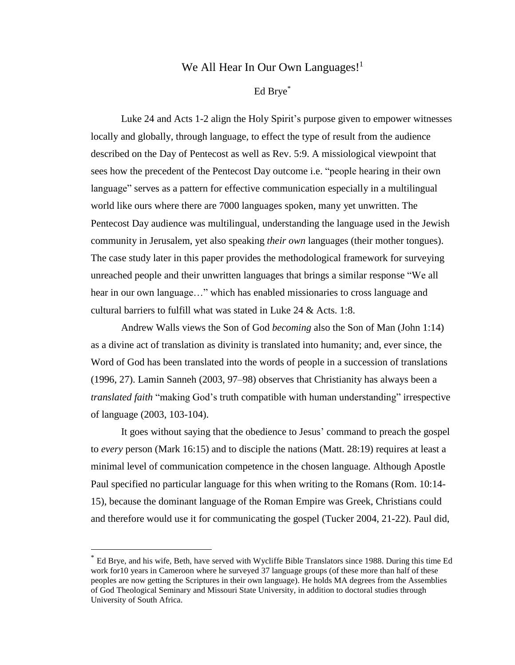## We All Hear In Our Own Languages! $1$

### Ed Brye\*

Luke 24 and Acts 1-2 align the Holy Spirit's purpose given to empower witnesses locally and globally, through language, to effect the type of result from the audience described on the Day of Pentecost as well as Rev. 5:9. A missiological viewpoint that sees how the precedent of the Pentecost Day outcome i.e. "people hearing in their own language" serves as a pattern for effective communication especially in a multilingual world like ours where there are 7000 languages spoken, many yet unwritten. The Pentecost Day audience was multilingual, understanding the language used in the Jewish community in Jerusalem, yet also speaking *their own* languages (their mother tongues). The case study later in this paper provides the methodological framework for surveying unreached people and their unwritten languages that brings a similar response "We all hear in our own language…" which has enabled missionaries to cross language and cultural barriers to fulfill what was stated in Luke 24 & Acts. 1:8.

Andrew Walls views the Son of God *becoming* also the Son of Man (John 1:14) as a divine act of translation as divinity is translated into humanity; and, ever since, the Word of God has been translated into the words of people in a succession of translations (1996, 27). Lamin Sanneh (2003, 97–98) observes that Christianity has always been a *translated faith* "making God's truth compatible with human understanding" irrespective of language (2003, 103-104).

It goes without saying that the obedience to Jesus' command to preach the gospel to *every* person (Mark 16:15) and to disciple the nations (Matt. 28:19) requires at least a minimal level of communication competence in the chosen language. Although Apostle Paul specified no particular language for this when writing to the Romans (Rom. 10:14- 15), because the dominant language of the Roman Empire was Greek, Christians could and therefore would use it for communicating the gospel (Tucker 2004, 21-22). Paul did,

 $\overline{a}$ 

<sup>\*</sup> Ed Brye, and his wife, Beth, have served with Wycliffe Bible Translators since 1988. During this time Ed work for10 years in Cameroon where he surveyed 37 language groups (of these more than half of these peoples are now getting the Scriptures in their own language). He holds MA degrees from the Assemblies of God Theological Seminary and Missouri State University, in addition to doctoral studies through University of South Africa.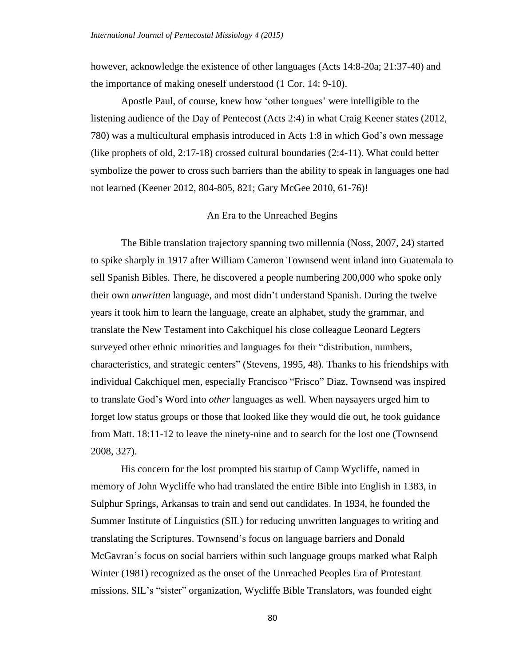however, acknowledge the existence of other languages (Acts 14:8-20a; 21:37-40) and the importance of making oneself understood (1 Cor. 14: 9-10).

Apostle Paul, of course, knew how 'other tongues' were intelligible to the listening audience of the Day of Pentecost (Acts 2:4) in what Craig Keener states (2012, 780) was a multicultural emphasis introduced in Acts 1:8 in which God's own message (like prophets of old, 2:17-18) crossed cultural boundaries (2:4-11). What could better symbolize the power to cross such barriers than the ability to speak in languages one had not learned (Keener 2012, 804-805, 821; Gary McGee 2010, 61-76)!

#### An Era to the Unreached Begins

The Bible translation trajectory spanning two millennia (Noss, 2007, 24) started to spike sharply in 1917 after William Cameron Townsend went inland into Guatemala to sell Spanish Bibles. There, he discovered a people numbering 200,000 who spoke only their own *unwritten* language, and most didn't understand Spanish. During the twelve years it took him to learn the language, create an alphabet, study the grammar, and translate the New Testament into Cakchiquel his close colleague Leonard Legters surveyed other ethnic minorities and languages for their "distribution, numbers, characteristics, and strategic centers" (Stevens, 1995, 48). Thanks to his friendships with individual Cakchiquel men, especially Francisco "Frisco" Diaz, Townsend was inspired to translate God's Word into *other* languages as well. When naysayers urged him to forget low status groups or those that looked like they would die out, he took guidance from Matt. 18:11-12 to leave the ninety-nine and to search for the lost one (Townsend 2008, 327).

His concern for the lost prompted his startup of Camp Wycliffe, named in memory of John Wycliffe who had translated the entire Bible into English in 1383, in Sulphur Springs, Arkansas to train and send out candidates. In 1934, he founded the Summer Institute of Linguistics (SIL) for reducing unwritten languages to writing and translating the Scriptures. Townsend's focus on language barriers and Donald McGavran's focus on social barriers within such language groups marked what Ralph Winter (1981) recognized as the onset of the Unreached Peoples Era of Protestant missions. SIL's "sister" organization, Wycliffe Bible Translators, was founded eight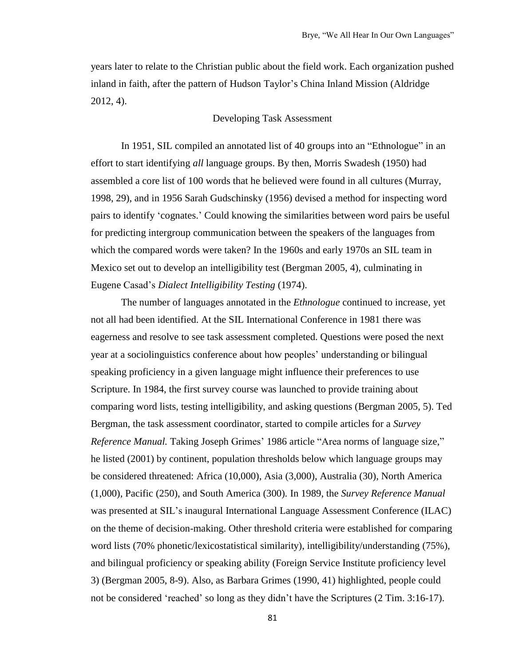years later to relate to the Christian public about the field work. Each organization pushed inland in faith, after the pattern of Hudson Taylor's China Inland Mission (Aldridge 2012, 4).

### Developing Task Assessment

In 1951, SIL compiled an annotated list of 40 groups into an "Ethnologue" in an effort to start identifying *all* language groups. By then, Morris Swadesh (1950) had assembled a core list of 100 words that he believed were found in all cultures (Murray, 1998, 29), and in 1956 Sarah Gudschinsky (1956) devised a method for inspecting word pairs to identify 'cognates.' Could knowing the similarities between word pairs be useful for predicting intergroup communication between the speakers of the languages from which the compared words were taken? In the 1960s and early 1970s an SIL team in Mexico set out to develop an intelligibility test (Bergman 2005, 4), culminating in Eugene Casad's *Dialect Intelligibility Testing* (1974).

The number of languages annotated in the *Ethnologue* continued to increase, yet not all had been identified. At the SIL International Conference in 1981 there was eagerness and resolve to see task assessment completed. Questions were posed the next year at a sociolinguistics conference about how peoples' understanding or bilingual speaking proficiency in a given language might influence their preferences to use Scripture. In 1984, the first survey course was launched to provide training about comparing word lists, testing intelligibility, and asking questions (Bergman 2005, 5). Ted Bergman, the task assessment coordinator, started to compile articles for a *Survey Reference Manual.* Taking Joseph Grimes' 1986 article "Area norms of language size," he listed (2001) by continent, population thresholds below which language groups may be considered threatened: Africa (10,000), Asia (3,000), Australia (30), North America (1,000), Pacific (250), and South America (300). In 1989, the *Survey Reference Manual* was presented at SIL's inaugural International Language Assessment Conference (ILAC) on the theme of decision-making. Other threshold criteria were established for comparing word lists (70% phonetic/lexicostatistical similarity), intelligibility/understanding (75%), and bilingual proficiency or speaking ability (Foreign Service Institute proficiency level 3) (Bergman 2005, 8-9). Also, as Barbara Grimes (1990, 41) highlighted, people could not be considered 'reached' so long as they didn't have the Scriptures (2 Tim. 3:16-17).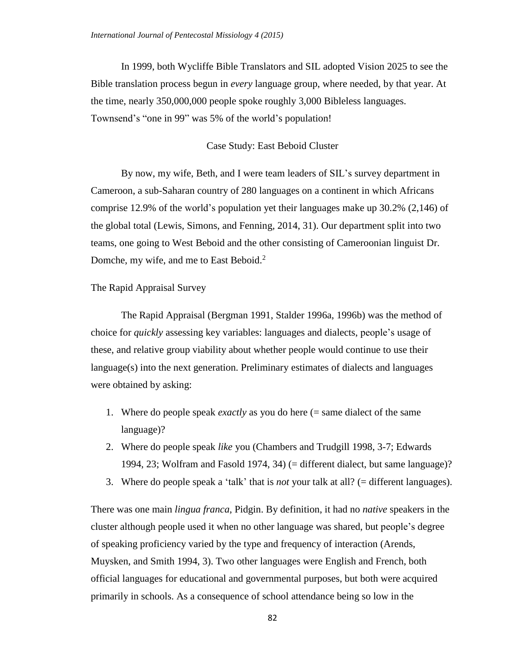In 1999, both Wycliffe Bible Translators and SIL adopted Vision 2025 to see the Bible translation process begun in *every* language group, where needed, by that year. At the time, nearly 350,000,000 people spoke roughly 3,000 Bibleless languages. Townsend's "one in 99" was 5% of the world's population!

#### Case Study: East Beboid Cluster

By now, my wife, Beth, and I were team leaders of SIL's survey department in Cameroon, a sub-Saharan country of 280 languages on a continent in which Africans comprise 12.9% of the world's population yet their languages make up 30.2% (2,146) of the global total (Lewis, Simons, and Fenning*,* 2014, 31). Our department split into two teams, one going to West Beboid and the other consisting of Cameroonian linguist Dr. Domche, my wife, and me to East Beboid.<sup>2</sup>

### The Rapid Appraisal Survey

The Rapid Appraisal (Bergman 1991, Stalder 1996a, 1996b) was the method of choice for *quickly* assessing key variables: languages and dialects, people's usage of these, and relative group viability about whether people would continue to use their language(s) into the next generation. Preliminary estimates of dialects and languages were obtained by asking:

- 1. Where do people speak *exactly* as you do here (= same dialect of the same language)?
- 2. Where do people speak *like* you (Chambers and Trudgill 1998, 3-7; Edwards 1994, 23; Wolfram and Fasold 1974, 34) (= different dialect, but same language)?
- 3. Where do people speak a 'talk' that is *not* your talk at all? (= different languages).

There was one main *lingua franca*, Pidgin. By definition, it had no *native* speakers in the cluster although people used it when no other language was shared, but people's degree of speaking proficiency varied by the type and frequency of interaction (Arends, Muysken, and Smith 1994, 3). Two other languages were English and French, both official languages for educational and governmental purposes, but both were acquired primarily in schools. As a consequence of school attendance being so low in the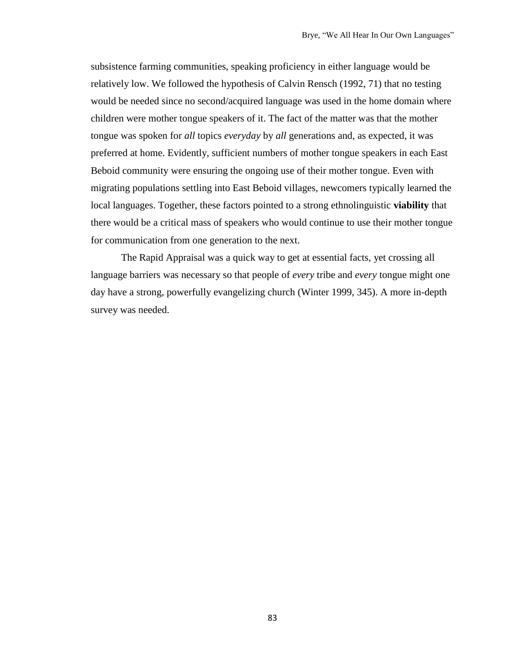subsistence farming communities, speaking proficiency in either language would be relatively low. We followed the hypothesis of Calvin Rensch (1992, 71) that no testing would be needed since no second/acquired language was used in the home domain where children were mother tongue speakers of it. The fact of the matter was that the mother tongue was spoken for *all* topics *everyday* by *all* generations and, as expected, it was preferred at home. Evidently, sufficient numbers of mother tongue speakers in each East Beboid community were ensuring the ongoing use of their mother tongue. Even with migrating populations settling into East Beboid villages, newcomers typically learned the local languages. Together, these factors pointed to a strong ethnolinguistic **viability** that there would be a critical mass of speakers who would continue to use their mother tongue for communication from one generation to the next.

The Rapid Appraisal was a quick way to get at essential facts, yet crossing all language barriers was necessary so that people of *every* tribe and *every* tongue might one day have a strong, powerfully evangelizing church (Winter 1999, 345). A more in-depth survey was needed.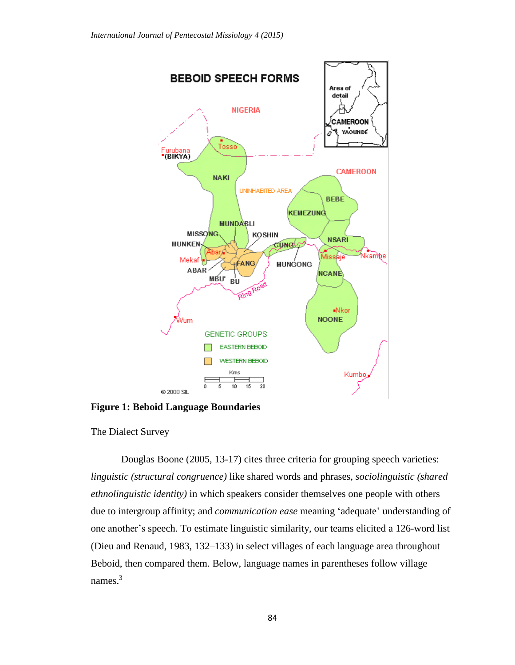

**Figure 1: Beboid Language Boundaries**

The Dialect Survey

Douglas Boone (2005, 13-17) cites three criteria for grouping speech varieties: *linguistic (structural congruence)* like shared words and phrases, *sociolinguistic (shared ethnolinguistic identity)* in which speakers consider themselves one people with others due to intergroup affinity; and *communication ease* meaning 'adequate' understanding of one another's speech. To estimate linguistic similarity, our teams elicited a 126-word list (Dieu and Renaud, 1983, 132–133) in select villages of each language area throughout Beboid, then compared them. Below, language names in parentheses follow village names.<sup>3</sup>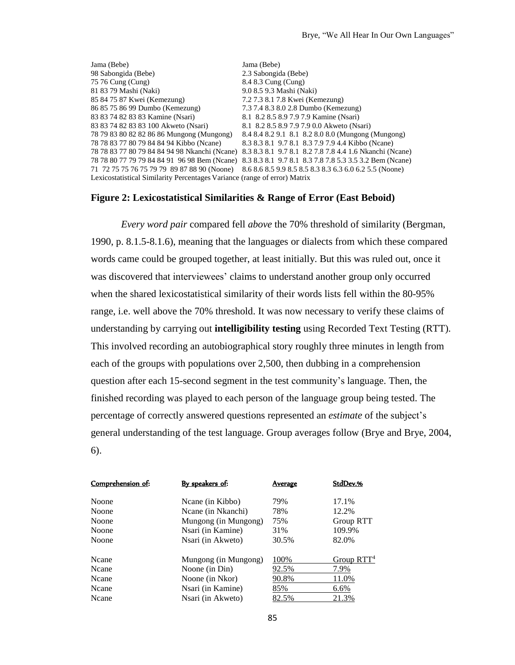| Jama (Bebe)                                                               | Jama (Bebe)                                                                                           |  |  |
|---------------------------------------------------------------------------|-------------------------------------------------------------------------------------------------------|--|--|
| 98 Sabongida (Bebe)                                                       | 2.3 Sabongida (Bebe)                                                                                  |  |  |
| 75 76 Cung (Cung)                                                         | 8.4 8.3 Cung (Cung)                                                                                   |  |  |
| 81 83 79 Mashi (Naki)                                                     | 9.0 8.5 9.3 Mashi (Naki)                                                                              |  |  |
| 85 84 75 87 Kwei (Kemezung)                                               | 7.2 7.3 8.1 7.8 Kwei (Kemezung)                                                                       |  |  |
| 86 85 75 86 99 Dumbo (Kemezung)                                           | 7.3 7.4 8.3 8.0 2.8 Dumbo (Kemezung)                                                                  |  |  |
| 83 83 74 82 83 83 Kamine (Nsari)                                          | 8.1 8.2 8.5 8.9 7.9 7.9 Kamine (Nsari)                                                                |  |  |
| 83 83 74 82 83 83 100 Akweto (Nsari)                                      | 8.1 8.2 8.5 8.9 7.9 7.9 0.0 Akweto (Nsari)                                                            |  |  |
| 78 79 83 80 82 82 86 86 Mungong (Mungong)                                 | 8.4 8.4 8.2 9.1 8.1 8.2 8.0 8.0 (Mungong (Mungong)                                                    |  |  |
| 78 78 83 77 80 79 84 84 94 Kibbo (Neane)                                  | 8.3 8.3 8.1 9.7 8.1 8.3 7.9 7.9 4.4 Kibbo (Ncane)                                                     |  |  |
|                                                                           | 78 78 83 77 80 79 84 84 94 98 Nkanchi (Ncane) 8.3 8.3 8.1 9.7 8.1 8.2 7.8 7.8 4.4 1.6 Nkanchi (Ncane) |  |  |
|                                                                           | 78 78 80 77 79 79 84 84 91 96 98 Bem (Ncane) 8.3 8.3 8.1 9.7 8.1 8.3 7.8 7.8 5.3 3.5 3.2 Bem (Ncane)  |  |  |
|                                                                           | 71 72 75 75 76 75 79 79 89 87 88 90 (Noone) 8.6 8.6 8.5 9.9 8.5 8.5 8.3 8.3 6.3 6.0 6.2 5.5 (Noone)   |  |  |
| Lexicostatistical Similarity Percentages Variance (range of error) Matrix |                                                                                                       |  |  |

### **Figure 2: Lexicostatistical Similarities & Range of Error (East Beboid)**

*Every word pair* compared fell *above* the 70% threshold of similarity (Bergman, 1990, p. 8.1.5-8.1.6), meaning that the languages or dialects from which these compared words came could be grouped together, at least initially. But this was ruled out, once it was discovered that interviewees' claims to understand another group only occurred when the shared lexicostatistical similarity of their words lists fell within the 80-95% range, i.e. well above the 70% threshold. It was now necessary to verify these claims of understanding by carrying out **intelligibility testing** using Recorded Text Testing (RTT). This involved recording an autobiographical story roughly three minutes in length from each of the groups with populations over 2,500, then dubbing in a comprehension question after each 15-second segment in the test community's language. Then, the finished recording was played to each person of the language group being tested. The percentage of correctly answered questions represented an *estimate* of the subject's general understanding of the test language. Group averages follow (Brye and Brye, 2004, 6).

| By speakers of:      | Average | StdDev.%               |
|----------------------|---------|------------------------|
| Neane (in Kibbo)     | 79%     | 17.1%                  |
| Ncane (in Nkanchi)   | 78%     | 12.2%                  |
| Mungong (in Mungong) | 75%     | Group RTT              |
| Nsari (in Kamine)    | 31%     | 109.9%                 |
| Nsari (in Akweto)    | 30.5%   | 82.0%                  |
| Mungong (in Mungong) | 100%    | Group RTT <sup>4</sup> |
| Noone (in Din)       | 92.5%   | 7.9%                   |
| Noone (in Nkor)      | 90.8%   | <u>11.0%</u>           |
| Nsari (in Kamine)    | 85%     | 6.6%                   |
| Nsari (in Akweto)    | 82.5%   | 21.3%                  |
|                      |         |                        |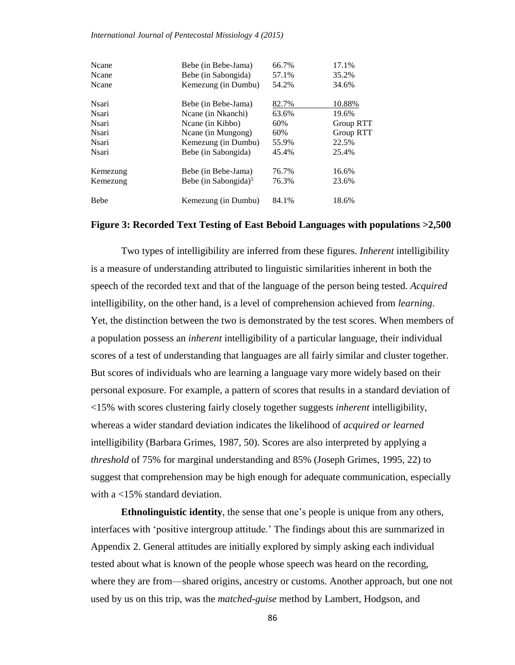*International Journal of Pentecostal Missiology 4 (2015)*

| Ncane<br>Ncane | Bebe (in Bebe-Jama)<br>Bebe (in Sabongida) | 66.7%<br>57.1% | 17.1%<br>35.2%   |
|----------------|--------------------------------------------|----------------|------------------|
| Ncane          | Kemezung (in Dumbu)                        | 54.2%          | 34.6%            |
| Nsari          | Bebe (in Bebe-Jama)                        | 82.7%          | 10.88%           |
| Nsari          | Ncane (in Nkanchi)                         | 63.6%          | 19.6%            |
| <b>Nsari</b>   | Neane (in Kibbo)                           | 60%            | Group RTT        |
| Nsari          | Neane (in Mungong)                         | 60%            | <b>Group RTT</b> |
| Nsari          | Kemezung (in Dumbu)                        | 55.9%          | 22.5%            |
| Nsari          | Bebe (in Sabongida)                        | 45.4%          | 25.4%            |
| Kemezung       | Bebe (in Bebe-Jama)                        | 76.7%          | 16.6%            |
| Kemezung       | Bebe (in Sabongida) <sup>5</sup>           | 76.3%          | 23.6%            |
| <b>Bebe</b>    | Kemezung (in Dumbu)                        | 84.1%          | 18.6%            |

#### **Figure 3: Recorded Text Testing of East Beboid Languages with populations >2,500**

Two types of intelligibility are inferred from these figures. *Inherent* intelligibility is a measure of understanding attributed to linguistic similarities inherent in both the speech of the recorded text and that of the language of the person being tested. *Acquired* intelligibility, on the other hand, is a level of comprehension achieved from *learning*. Yet, the distinction between the two is demonstrated by the test scores. When members of a population possess an *inherent* intelligibility of a particular language, their individual scores of a test of understanding that languages are all fairly similar and cluster together. But scores of individuals who are learning a language vary more widely based on their personal exposure. For example, a pattern of scores that results in a standard deviation of <15% with scores clustering fairly closely together suggests *inherent* intelligibility, whereas a wider standard deviation indicates the likelihood of *acquired or learned* intelligibility (Barbara Grimes, 1987, 50). Scores are also interpreted by applying a *threshold* of 75% for marginal understanding and 85% (Joseph Grimes, 1995, 22) to suggest that comprehension may be high enough for adequate communication, especially with a <15% standard deviation.

**Ethnolinguistic identity**, the sense that one's people is unique from any others, interfaces with 'positive intergroup attitude.' The findings about this are summarized in Appendix 2. General attitudes are initially explored by simply asking each individual tested about what is known of the people whose speech was heard on the recording, where they are from—shared origins, ancestry or customs. Another approach, but one not used by us on this trip, was the *matched-guise* method by Lambert, Hodgson, and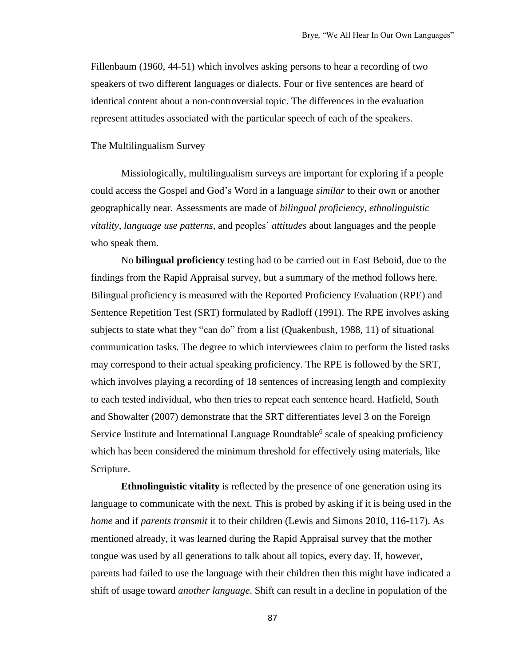Fillenbaum (1960, 44-51) which involves asking persons to hear a recording of two speakers of two different languages or dialects. Four or five sentences are heard of identical content about a non-controversial topic. The differences in the evaluation represent attitudes associated with the particular speech of each of the speakers.

The Multilingualism Survey

Missiologically, multilingualism surveys are important for exploring if a people could access the Gospel and God's Word in a language *similar* to their own or another geographically near. Assessments are made of *bilingual proficiency*, *ethnolinguistic vitality*, *language use patterns*, and peoples' *attitudes* about languages and the people who speak them.

No **bilingual proficiency** testing had to be carried out in East Beboid, due to the findings from the Rapid Appraisal survey, but a summary of the method follows here. Bilingual proficiency is measured with the Reported Proficiency Evaluation (RPE) and Sentence Repetition Test (SRT) formulated by Radloff (1991). The RPE involves asking subjects to state what they "can do" from a list (Quakenbush, 1988, 11) of situational communication tasks. The degree to which interviewees claim to perform the listed tasks may correspond to their actual speaking proficiency. The RPE is followed by the SRT, which involves playing a recording of 18 sentences of increasing length and complexity to each tested individual, who then tries to repeat each sentence heard. Hatfield, South and Showalter (2007) demonstrate that the SRT differentiates level 3 on the Foreign Service Institute and International Language Roundtable<sup>6</sup> scale of speaking proficiency which has been considered the minimum threshold for effectively using materials, like Scripture.

**Ethnolinguistic vitality** is reflected by the presence of one generation using its language to communicate with the next. This is probed by asking if it is being used in the *home* and if *parents transmit* it to their children (Lewis and Simons 2010, 116-117). As mentioned already, it was learned during the Rapid Appraisal survey that the mother tongue was used by all generations to talk about all topics, every day. If, however, parents had failed to use the language with their children then this might have indicated a shift of usage toward *another language*. Shift can result in a decline in population of the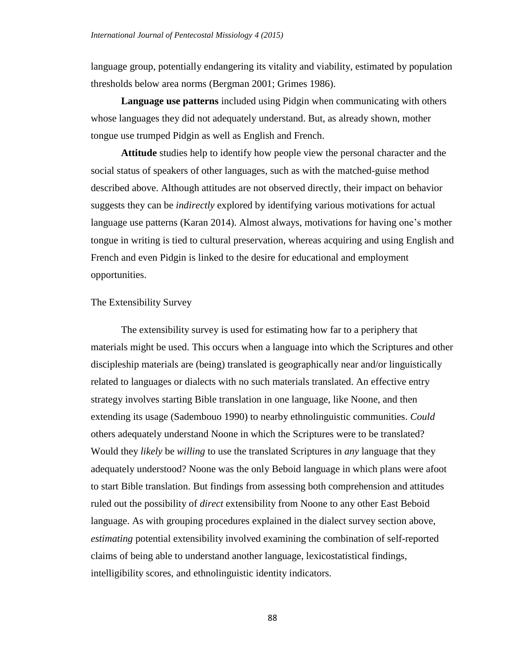language group, potentially endangering its vitality and viability, estimated by population thresholds below area norms (Bergman 2001; Grimes 1986).

**Language use patterns** included using Pidgin when communicating with others whose languages they did not adequately understand. But, as already shown, mother tongue use trumped Pidgin as well as English and French.

**Attitude** studies help to identify how people view the personal character and the social status of speakers of other languages, such as with the matched-guise method described above. Although attitudes are not observed directly, their impact on behavior suggests they can be *indirectly* explored by identifying various motivations for actual language use patterns (Karan 2014). Almost always, motivations for having one's mother tongue in writing is tied to cultural preservation, whereas acquiring and using English and French and even Pidgin is linked to the desire for educational and employment opportunities.

### The Extensibility Survey

The extensibility survey is used for estimating how far to a periphery that materials might be used. This occurs when a language into which the Scriptures and other discipleship materials are (being) translated is geographically near and/or linguistically related to languages or dialects with no such materials translated. An effective entry strategy involves starting Bible translation in one language, like Noone, and then extending its usage (Sadembouo 1990) to nearby ethnolinguistic communities. *Could* others adequately understand Noone in which the Scriptures were to be translated? Would they *likely* be *willing* to use the translated Scriptures in *any* language that they adequately understood? Noone was the only Beboid language in which plans were afoot to start Bible translation. But findings from assessing both comprehension and attitudes ruled out the possibility of *direct* extensibility from Noone to any other East Beboid language. As with grouping procedures explained in the dialect survey section above, *estimating* potential extensibility involved examining the combination of self-reported claims of being able to understand another language, lexicostatistical findings, intelligibility scores, and ethnolinguistic identity indicators.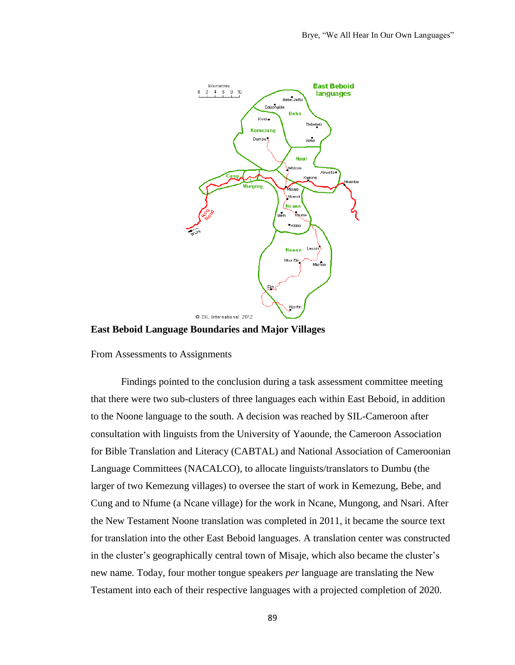

**East Beboid Language Boundaries and Major Villages**

From Assessments to Assignments

Findings pointed to the conclusion during a task assessment committee meeting that there were two sub-clusters of three languages each within East Beboid, in addition to the Noone language to the south. A decision was reached by SIL-Cameroon after consultation with linguists from the University of Yaounde, the Cameroon Association for Bible Translation and Literacy (CABTAL) and National Association of Cameroonian Language Committees (NACALCO), to allocate linguists/translators to Dumbu (the larger of two Kemezung villages) to oversee the start of work in Kemezung, Bebe, and Cung and to Nfume (a Ncane village) for the work in Ncane, Mungong, and Nsari. After the New Testament Noone translation was completed in 2011, it became the source text for translation into the other East Beboid languages. A translation center was constructed in the cluster's geographically central town of Misaje, which also became the cluster's new name*.* Today, four mother tongue speakers *per* language are translating the New Testament into each of their respective languages with a projected completion of 2020.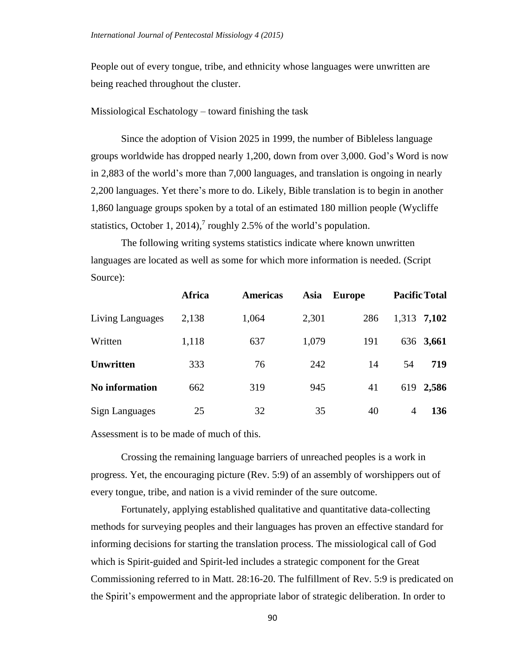People out of every tongue, tribe, and ethnicity whose languages were unwritten are being reached throughout the cluster.

Missiological Eschatology – toward finishing the task

Since the adoption of Vision 2025 in 1999, the number of Bibleless language groups worldwide has dropped nearly 1,200, down from over 3,000. God's Word is now in 2,883 of the world's more than 7,000 languages, and translation is ongoing in nearly 2,200 languages. Yet there's more to do. Likely, Bible translation is to begin in another 1,860 language groups spoken by a total of an estimated 180 million people (Wycliffe statistics, October 1, 2014),<sup>7</sup> roughly 2.5% of the world's population.

The following writing systems statistics indicate where known unwritten languages are located as well as some for which more information is needed. (Script Source):

|                       | <b>Africa</b> | <b>Americas</b> | Asia  | <b>Europe</b> |       | <b>Pacific Total</b> |
|-----------------------|---------------|-----------------|-------|---------------|-------|----------------------|
| Living Languages      | 2,138         | 1,064           | 2,301 | 286           | 1,313 | 7,102                |
| Written               | 1,118         | 637             | 1,079 | 191           |       | 636 3,661            |
| <b>Unwritten</b>      | 333           | 76              | 242   | 14            | 54    | 719                  |
| <b>No information</b> | 662           | 319             | 945   | 41            |       | 619 2,586            |
| <b>Sign Languages</b> | 25            | 32              | 35    | 40            | 4     | 136                  |

Assessment is to be made of much of this.

Crossing the remaining language barriers of unreached peoples is a work in progress. Yet, the encouraging picture (Rev. 5:9) of an assembly of worshippers out of every tongue, tribe, and nation is a vivid reminder of the sure outcome.

Fortunately, applying established qualitative and quantitative data-collecting methods for surveying peoples and their languages has proven an effective standard for informing decisions for starting the translation process. The missiological call of God which is Spirit-guided and Spirit-led includes a strategic component for the Great Commissioning referred to in Matt. 28:16-20. The fulfillment of Rev. 5:9 is predicated on the Spirit's empowerment and the appropriate labor of strategic deliberation. In order to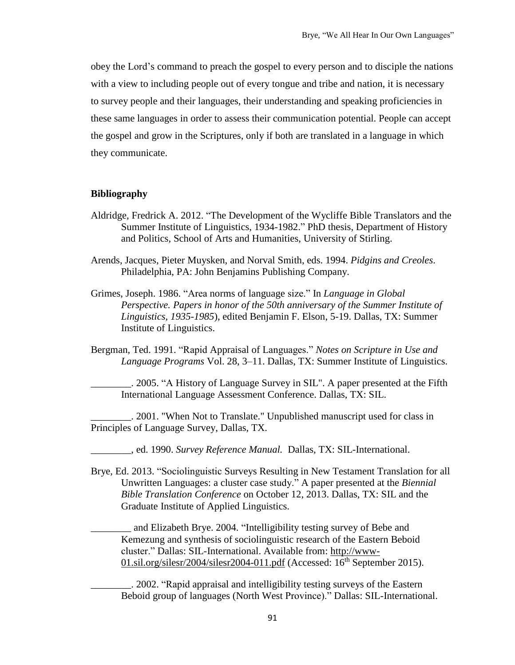obey the Lord's command to preach the gospel to every person and to disciple the nations with a view to including people out of every tongue and tribe and nation, it is necessary to survey people and their languages, their understanding and speaking proficiencies in these same languages in order to assess their communication potential. People can accept the gospel and grow in the Scriptures, only if both are translated in a language in which they communicate.

### **Bibliography**

- Aldridge, Fredrick A. 2012. "The Development of the Wycliffe Bible Translators and the Summer Institute of Linguistics, 1934-1982." PhD thesis, Department of History and Politics, School of Arts and Humanities, University of Stirling.
- Arends, Jacques, Pieter Muysken, and Norval Smith, eds. 1994. *Pidgins and Creoles*. Philadelphia, PA: John Benjamins Publishing Company.
- Grimes, Joseph. 1986. "Area norms of language size." In *Language in Global Perspective. Papers in honor of the 50th anniversary of the Summer Institute of Linguistics, 1935-1985*), edited Benjamin F. Elson, 5-19. Dallas, TX: Summer Institute of Linguistics.
- Bergman, Ted. 1991. "Rapid Appraisal of Languages." *Notes on Scripture in Use and Language Programs* Vol. 28, 3–11. Dallas, TX: Summer Institute of Linguistics.

\_\_\_\_\_\_\_\_. 2005. "A History of Language Survey in SIL". A paper presented at the Fifth International Language Assessment Conference. Dallas, TX: SIL.

\_\_\_\_\_\_\_\_. 2001. "When Not to Translate." Unpublished manuscript used for class in Principles of Language Survey, Dallas, TX.

\_\_\_\_\_\_\_\_, ed. 1990. *Survey Reference Manual.* Dallas, TX: SIL-International.

Brye, Ed. 2013. "Sociolinguistic Surveys Resulting in New Testament Translation for all Unwritten Languages: a cluster case study." A paper presented at the *Biennial Bible Translation Conference* on October 12, 2013. Dallas, TX: SIL and the Graduate Institute of Applied Linguistics.

and Elizabeth Brye. 2004. "Intelligibility testing survey of Bebe and Kemezung and synthesis of sociolinguistic research of the Eastern Beboid cluster." Dallas: SIL-International. Available from: [http://www-](http://www-01.sil.org/silesr/2004/silesr2004-011.pdf)[01.sil.org/silesr/2004/silesr2004-011.pdf](http://www-01.sil.org/silesr/2004/silesr2004-011.pdf) (Accessed:  $16<sup>th</sup>$  September 2015).

\_\_\_\_\_\_\_\_. 2002. "Rapid appraisal and intelligibility testing surveys of the Eastern Beboid group of languages (North West Province)." Dallas: SIL-International.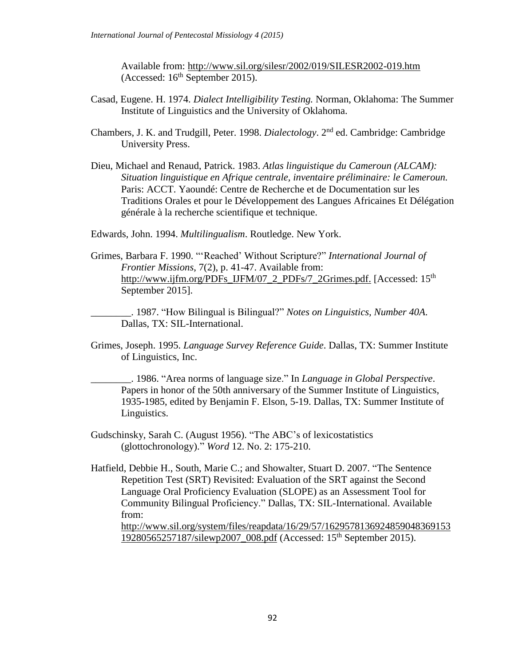Available from: <http://www.sil.org/silesr/2002/019/SILESR2002-019.htm> (Accessed:  $16<sup>th</sup>$  September 2015).

- Casad, Eugene. H. 1974. *Dialect Intelligibility Testing.* Norman, Oklahoma: The Summer Institute of Linguistics and the University of Oklahoma.
- Chambers, J. K. and Trudgill, Peter. 1998. *Dialectology*. 2<sup>nd</sup> ed. Cambridge: Cambridge University Press.
- Dieu, Michael and Renaud, Patrick. 1983. *Atlas linguistique du Cameroun (ALCAM): Situation linguistique en Afrique centrale, inventaire préliminaire: le Cameroun.* Paris: ACCT. Yaoundé: Centre de Recherche et de Documentation sur les Traditions Orales et pour le Développement des Langues Africaines Et Délégation générale à la recherche scientifique et technique.

Edwards, John. 1994. *Multilingualism*. Routledge. New York.

Grimes, Barbara F. 1990. "'Reached' Without Scripture?" *International Journal of Frontier Missions*, 7(2), p. 41-47. Available from: [http://www.ijfm.org/PDFs\\_IJFM/07\\_2\\_PDFs/7\\_2Grimes.pdf.](http://www.ijfm.org/PDFs_IJFM/07_2_PDFs/7_2Grimes.pdf) [Accessed: 15<sup>th</sup>] September 2015].

\_\_\_\_\_\_\_\_. 1987. "How Bilingual is Bilingual?" *Notes on Linguistics, Number 40A*. Dallas, TX: SIL-International.

Grimes, Joseph. 1995. *Language Survey Reference Guide*. Dallas, TX: Summer Institute of Linguistics, Inc.

\_\_\_\_\_\_\_\_. 1986. "Area norms of language size." In *Language in Global Perspective*. Papers in honor of the 50th anniversary of the Summer Institute of Linguistics, 1935-1985, edited by Benjamin F. Elson, 5-19. Dallas, TX: Summer Institute of Linguistics.

Gudschinsky, Sarah C. (August 1956). "The ABC's of lexicostatistics (glottochronology)." *Word* 12. No. 2: 175-210.

Hatfield, Debbie H., South, Marie C.; and Showalter, Stuart D. 2007. "The Sentence Repetition Test (SRT) Revisited: Evaluation of the SRT against the Second Language Oral Proficiency Evaluation (SLOPE) as an Assessment Tool for Community Bilingual Proficiency." Dallas, TX: SIL-International. Available from:

[http://www.sil.org/system/files/reapdata/16/29/57/1629578136924859048369153](http://www.sil.org/system/files/reapdata/16/29/57/162957813692485904836915319280565257187/silewp2007_008.pdf) [19280565257187/silewp2007\\_008.pdf](http://www.sil.org/system/files/reapdata/16/29/57/162957813692485904836915319280565257187/silewp2007_008.pdf) (Accessed: 15th September 2015).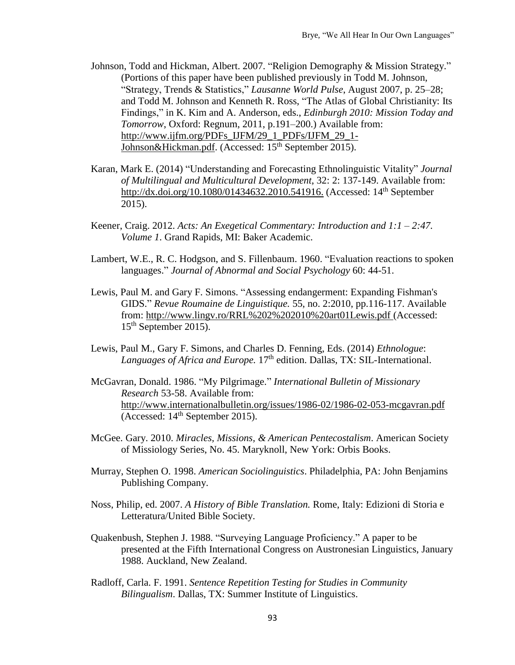- Johnson, Todd and Hickman, Albert. 2007. "Religion Demography & Mission Strategy." (Portions of this paper have been published previously in Todd M. Johnson, "Strategy, Trends & Statistics," *Lausanne World Pulse*, August 2007, p. 25–28; and Todd M. Johnson and Kenneth R. Ross, "The Atlas of Global Christianity: Its Findings," in K. Kim and A. Anderson, eds., *Edinburgh 2010: Mission Today and Tomorrow*, Oxford: Regnum, 2011, p.191–200.) Available from: [http://www.ijfm.org/PDFs\\_IJFM/29\\_1\\_PDFs/IJFM\\_29\\_1-](http://www.ijfm.org/PDFs_IJFM/29_1_PDFs/IJFM_29_1-Johnson&Hickman.pdf) [Johnson&Hickman.pdf.](http://www.ijfm.org/PDFs_IJFM/29_1_PDFs/IJFM_29_1-Johnson&Hickman.pdf) (Accessed: 15<sup>th</sup> September 2015).
- Karan, Mark E. (2014) "Understanding and Forecasting Ethnolinguistic Vitality" *Journal of Multilingual and Multicultural Development*, 32: 2: 137-149. Available from: [http://dx.doi.org/10.1080/01434632.2010.541916.](http://dx.doi.org/10.1080/01434632.2010.541916) (Accessed: 14<sup>th</sup> September 2015).
- Keener, Craig. 2012. *Acts: An Exegetical Commentary: Introduction and 1:1 – 2:47. Volume 1*. Grand Rapids, MI: Baker Academic.
- Lambert, W.E., R. C. Hodgson, and S. Fillenbaum. 1960. "Evaluation reactions to spoken languages." *Journal of Abnormal and Social Psychology* 60: 44-51.
- Lewis, Paul M. and Gary F. Simons. "Assessing endangerment: Expanding Fishman's GIDS." *Revue Roumaine de Linguistique.* 55, no. 2:2010, pp.116-117. Available from: [http://www.lingv.ro/RRL%202%202010%20art01Lewis.pdf](http://www.lingv.ro/RRL%25202%25202010%2520art01Lewis.pdf) (Accessed: 15th September 2015).
- Lewis, Paul M., Gary F. Simons, and Charles D. Fenning, Eds. (2014) *Ethnologue*: *Languages of Africa and Europe.* 17th edition. Dallas, TX: SIL-International.
- McGavran, Donald. 1986. "My Pilgrimage." *International Bulletin of Missionary Research* 53-58. Available from: <http://www.internationalbulletin.org/issues/1986-02/1986-02-053-mcgavran.pdf> (Accessed:  $14<sup>th</sup>$  September 2015).
- McGee. Gary. 2010. *Miracles, Missions, & American Pentecostalism*. American Society of Missiology Series, No. 45. Maryknoll, New York: Orbis Books.
- Murray, Stephen O. 1998. *American Sociolinguistics*. Philadelphia, PA: John Benjamins Publishing Company.
- Noss, Philip, ed. 2007. *A History of Bible Translation.* Rome, Italy: Edizioni di Storia e Letteratura/United Bible Society.
- Quakenbush, Stephen J. 1988. "Surveying Language Proficiency." A paper to be presented at the Fifth International Congress on Austronesian Linguistics, January 1988. Auckland, New Zealand.
- Radloff, Carla. F. 1991. *Sentence Repetition Testing for Studies in Community Bilingualism*. Dallas, TX: Summer Institute of Linguistics.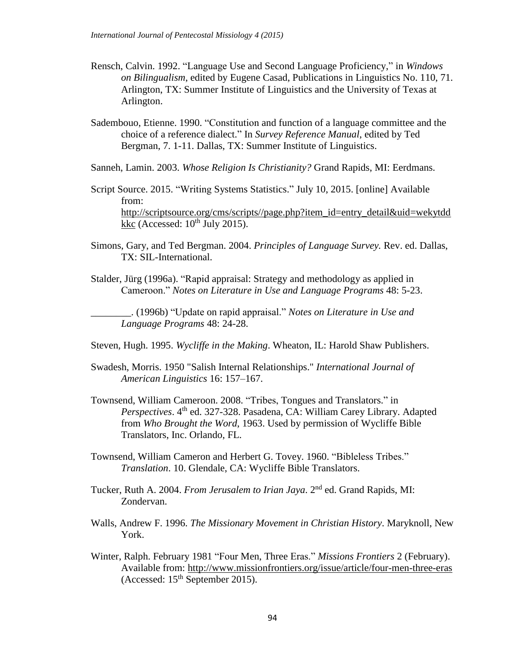- Rensch, Calvin. 1992. "Language Use and Second Language Proficiency," in *Windows on Bilingualism*, edited by Eugene Casad, Publications in Linguistics No. 110, 71. Arlington, TX: Summer Institute of Linguistics and the University of Texas at Arlington.
- Sadembouo, Etienne. 1990. "Constitution and function of a language committee and the choice of a reference dialect." In *Survey Reference Manual*, edited by Ted Bergman, 7. 1-11. Dallas, TX: Summer Institute of Linguistics.
- Sanneh, Lamin. 2003. *Whose Religion Is Christianity?* Grand Rapids, MI: Eerdmans.
- Script Source. 2015. "Writing Systems Statistics." July 10, 2015. [online] Available from: [http://scriptsource.org/cms/scripts//page.php?item\\_id=entry\\_detail&uid=wekytdd](http://scriptsource.org/cms/scripts/page.php?item_id=entry_detail&uid=wekytddkkc) [kkc](http://scriptsource.org/cms/scripts/page.php?item_id=entry_detail&uid=wekytddkkc) (Accessed:  $10^{th}$  July 2015).
- Simons, Gary, and Ted Bergman. 2004. *Principles of Language Survey.* Rev. ed. Dallas, TX: SIL-International.
- Stalder, Jürg (1996a). "Rapid appraisal: Strategy and methodology as applied in Cameroon." *Notes on Literature in Use and Language Programs* 48: 5-23.

\_\_\_\_\_\_\_\_. (1996b) "Update on rapid appraisal." *Notes on Literature in Use and Language Programs* 48: 24-28.

- Steven, Hugh. 1995. *Wycliffe in the Making*. Wheaton, IL: Harold Shaw Publishers.
- Swadesh, Morris. 1950 "Salish Internal Relationships." *International Journal of American Linguistics* 16: 157–167.
- Townsend, William Cameroon. 2008. "Tribes, Tongues and Translators." in Perspectives. 4<sup>th</sup> ed. 327-328. Pasadena, CA: William Carey Library. Adapted from *Who Brought the Word*, 1963. Used by permission of Wycliffe Bible Translators, Inc. Orlando, FL.
- Townsend, William Cameron and Herbert G. Tovey. 1960. "Bibleless Tribes." *Translation*. 10. Glendale, CA: Wycliffe Bible Translators.
- Tucker, Ruth A. 2004. *From Jerusalem to Irian Jaya*. 2 nd ed. Grand Rapids, MI: Zondervan.
- Walls, Andrew F. 1996. *The Missionary Movement in Christian History*. Maryknoll, New York.
- Winter, Ralph. February 1981 "Four Men, Three Eras." *Missions Frontiers* 2 (February). Available from: <http://www.missionfrontiers.org/issue/article/four-men-three-eras> (Accessed: 15<sup>th</sup> September 2015).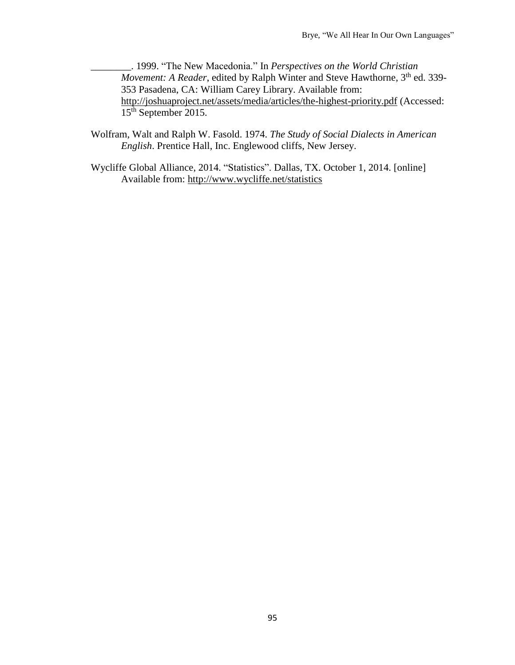\_\_\_\_\_\_\_\_. 1999. "The New Macedonia." In *Perspectives on the World Christian* Movement: A Reader, edited by Ralph Winter and Steve Hawthorne, 3<sup>th</sup> ed. 339-353 Pasadena, CA: William Carey Library. Available from: <http://joshuaproject.net/assets/media/articles/the-highest-priority.pdf> (Accessed: 15<sup>th</sup> September 2015.

- Wolfram, Walt and Ralph W. Fasold. 1974. *The Study of Social Dialects in American English*. Prentice Hall, Inc. Englewood cliffs, New Jersey.
- Wycliffe Global Alliance, 2014. "Statistics". Dallas, TX. October 1, 2014. [online] Available from: <http://www.wycliffe.net/statistics>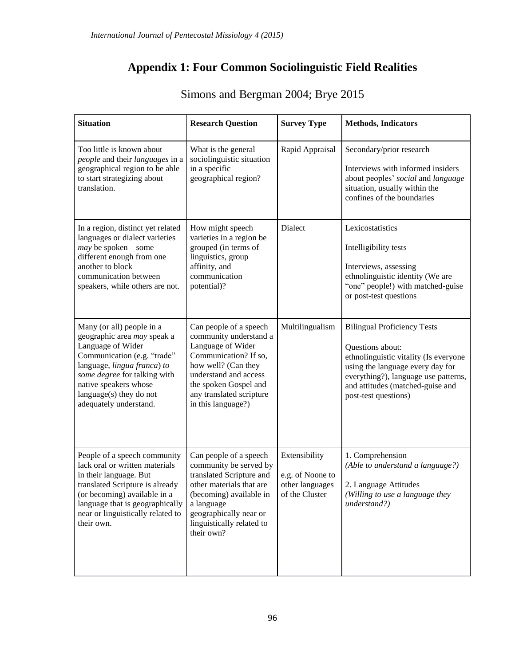# **Appendix 1: Four Common Sociolinguistic Field Realities**

| <b>Situation</b>                                                                                                                                                                                                                                          | <b>Research Question</b>                                                                                                                                                                                                  | <b>Survey Type</b>                                                     | <b>Methods, Indicators</b>                                                                                                                                                                                                              |
|-----------------------------------------------------------------------------------------------------------------------------------------------------------------------------------------------------------------------------------------------------------|---------------------------------------------------------------------------------------------------------------------------------------------------------------------------------------------------------------------------|------------------------------------------------------------------------|-----------------------------------------------------------------------------------------------------------------------------------------------------------------------------------------------------------------------------------------|
| Too little is known about<br>people and their languages in a<br>geographical region to be able<br>to start strategizing about<br>translation.                                                                                                             | What is the general<br>sociolinguistic situation<br>in a specific<br>geographical region?                                                                                                                                 | Rapid Appraisal                                                        | Secondary/prior research<br>Interviews with informed insiders<br>about peoples' social and language<br>situation, usually within the<br>confines of the boundaries                                                                      |
| In a region, distinct yet related<br>languages or dialect varieties<br>may be spoken-some<br>different enough from one<br>another to block<br>communication between<br>speakers, while others are not.                                                    | How might speech<br>varieties in a region be<br>grouped (in terms of<br>linguistics, group<br>affinity, and<br>communication<br>potential)?                                                                               | Dialect                                                                | Lexicostatistics<br>Intelligibility tests<br>Interviews, assessing<br>ethnolinguistic identity (We are<br>"one" people!) with matched-guise<br>or post-test questions                                                                   |
| Many (or all) people in a<br>geographic area may speak a<br>Language of Wider<br>Communication (e.g. "trade"<br>language, lingua franca) to<br>some degree for talking with<br>native speakers whose<br>language(s) they do not<br>adequately understand. | Can people of a speech<br>community understand a<br>Language of Wider<br>Communication? If so,<br>how well? (Can they<br>understand and access<br>the spoken Gospel and<br>any translated scripture<br>in this language?) | Multilingualism                                                        | <b>Bilingual Proficiency Tests</b><br>Questions about:<br>ethnolinguistic vitality (Is everyone<br>using the language every day for<br>everything?), language use patterns,<br>and attitudes (matched-guise and<br>post-test questions) |
| People of a speech community<br>lack oral or written materials<br>in their language. But<br>translated Scripture is already<br>(or becoming) available in a<br>language that is geographically<br>near or linguistically related to<br>their own.         | Can people of a speech<br>community be served by<br>translated Scripture and<br>other materials that are<br>(becoming) available in<br>a language<br>geographically near or<br>linguistically related to<br>their own?    | Extensibility<br>e.g. of Noone to<br>other languages<br>of the Cluster | 1. Comprehension<br>(Able to understand a language?)<br>2. Language Attitudes<br>(Willing to use a language they<br>understand?)                                                                                                        |

# Simons and Bergman 2004; Brye 2015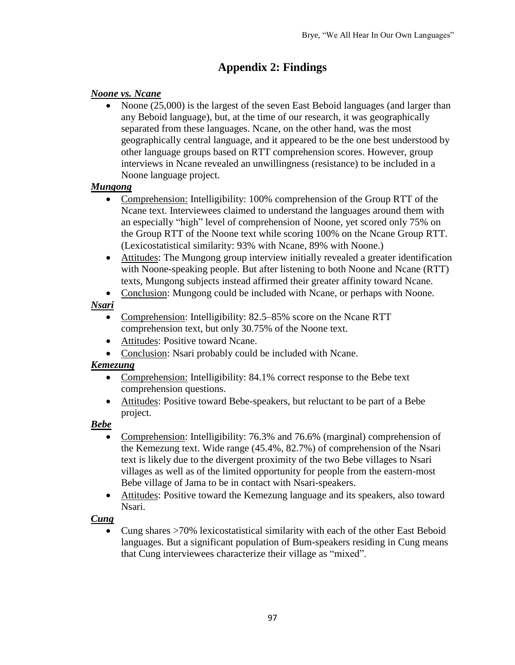# **Appendix 2: Findings**

## *Noone vs. Ncane*

• Noone (25,000) is the largest of the seven East Beboid languages (and larger than any Beboid language), but, at the time of our research, it was geographically separated from these languages. Ncane, on the other hand, was the most geographically central language, and it appeared to be the one best understood by other language groups based on RTT comprehension scores. However, group interviews in Ncane revealed an unwillingness (resistance) to be included in a Noone language project.

## *Mungong*

- Comprehension: Intelligibility: 100% comprehension of the Group RTT of the Ncane text. Interviewees claimed to understand the languages around them with an especially "high" level of comprehension of Noone, yet scored only 75% on the Group RTT of the Noone text while scoring 100% on the Ncane Group RTT. (Lexicostatistical similarity: 93% with Ncane, 89% with Noone.)
- Attitudes: The Mungong group interview initially revealed a greater identification with Noone-speaking people. But after listening to both Noone and Ncane (RTT) texts, Mungong subjects instead affirmed their greater affinity toward Ncane.
- Conclusion: Mungong could be included with Ncane, or perhaps with Noone.

# *Nsari*

- Comprehension: Intelligibility: 82.5–85% score on the Ncane RTT comprehension text, but only 30.75% of the Noone text.
- Attitudes: Positive toward Ncane.
- Conclusion: Nsari probably could be included with Ncane.

# *Kemezung*

- Comprehension: Intelligibility: 84.1% correct response to the Bebe text comprehension questions.
- Attitudes: Positive toward Bebe-speakers, but reluctant to be part of a Bebe project.

# *Bebe*

- Comprehension: Intelligibility: 76.3% and 76.6% (marginal) comprehension of the Kemezung text. Wide range (45.4%, 82.7%) of comprehension of the Nsari text is likely due to the divergent proximity of the two Bebe villages to Nsari villages as well as of the limited opportunity for people from the eastern-most Bebe village of Jama to be in contact with Nsari-speakers.
- Attitudes: Positive toward the Kemezung language and its speakers, also toward Nsari.

# *Cung*

 Cung shares >70% lexicostatistical similarity with each of the other East Beboid languages. But a significant population of Bum-speakers residing in Cung means that Cung interviewees characterize their village as "mixed".